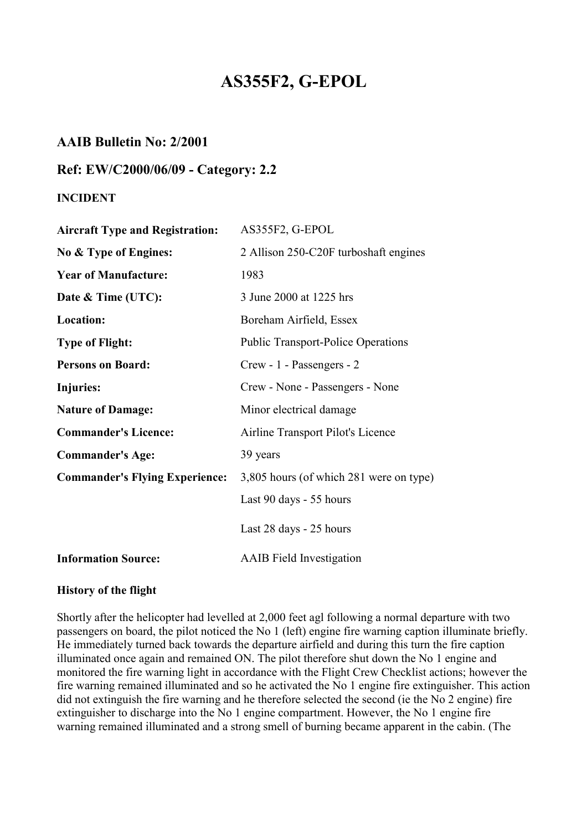# **AS355F2, G-EPOL**

# **AAIB Bulletin No: 2/2001**

## **Ref: EW/C2000/06/09 - Category: 2.2**

## **INCIDENT**

| <b>Aircraft Type and Registration:</b> | AS355F2, G-EPOL                           |
|----------------------------------------|-------------------------------------------|
| No & Type of Engines:                  | 2 Allison 250-C20F turboshaft engines     |
| <b>Year of Manufacture:</b>            | 1983                                      |
| Date & Time (UTC):                     | 3 June 2000 at 1225 hrs                   |
| Location:                              | Boreham Airfield, Essex                   |
| <b>Type of Flight:</b>                 | <b>Public Transport-Police Operations</b> |
| <b>Persons on Board:</b>               | Crew - 1 - Passengers - 2                 |
| Injuries:                              | Crew - None - Passengers - None           |
| <b>Nature of Damage:</b>               | Minor electrical damage                   |
| <b>Commander's Licence:</b>            | Airline Transport Pilot's Licence         |
| <b>Commander's Age:</b>                | 39 years                                  |
| <b>Commander's Flying Experience:</b>  | 3,805 hours (of which 281 were on type)   |
|                                        | Last 90 days - 55 hours                   |
|                                        | Last 28 days - 25 hours                   |
| <b>Information Source:</b>             | <b>AAIB</b> Field Investigation           |

#### **History of the flight**

Shortly after the helicopter had levelled at 2,000 feet agl following a normal departure with two passengers on board, the pilot noticed the No 1 (left) engine fire warning caption illuminate briefly. He immediately turned back towards the departure airfield and during this turn the fire caption illuminated once again and remained ON. The pilot therefore shut down the No 1 engine and monitored the fire warning light in accordance with the Flight Crew Checklist actions; however the fire warning remained illuminated and so he activated the No 1 engine fire extinguisher. This action did not extinguish the fire warning and he therefore selected the second (ie the No 2 engine) fire extinguisher to discharge into the No 1 engine compartment. However, the No 1 engine fire warning remained illuminated and a strong smell of burning became apparent in the cabin. (The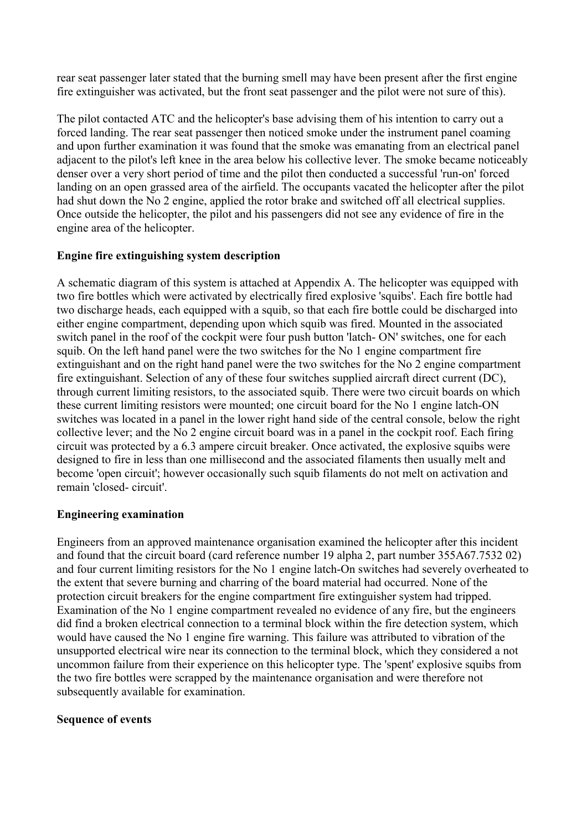rear seat passenger later stated that the burning smell may have been present after the first engine fire extinguisher was activated, but the front seat passenger and the pilot were not sure of this).

The pilot contacted ATC and the helicopter's base advising them of his intention to carry out a forced landing. The rear seat passenger then noticed smoke under the instrument panel coaming and upon further examination it was found that the smoke was emanating from an electrical panel adjacent to the pilot's left knee in the area below his collective lever. The smoke became noticeably denser over a very short period of time and the pilot then conducted a successful 'run-on' forced landing on an open grassed area of the airfield. The occupants vacated the helicopter after the pilot had shut down the No 2 engine, applied the rotor brake and switched off all electrical supplies. Once outside the helicopter, the pilot and his passengers did not see any evidence of fire in the engine area of the helicopter.

## **Engine fire extinguishing system description**

A schematic diagram of this system is attached at Appendix A. The helicopter was equipped with two fire bottles which were activated by electrically fired explosive 'squibs'. Each fire bottle had two discharge heads, each equipped with a squib, so that each fire bottle could be discharged into either engine compartment, depending upon which squib was fired. Mounted in the associated switch panel in the roof of the cockpit were four push button 'latch- ON' switches, one for each squib. On the left hand panel were the two switches for the No 1 engine compartment fire extinguishant and on the right hand panel were the two switches for the No 2 engine compartment fire extinguishant. Selection of any of these four switches supplied aircraft direct current (DC), through current limiting resistors, to the associated squib. There were two circuit boards on which these current limiting resistors were mounted; one circuit board for the No 1 engine latch-ON switches was located in a panel in the lower right hand side of the central console, below the right collective lever; and the No 2 engine circuit board was in a panel in the cockpit roof. Each firing circuit was protected by a 6.3 ampere circuit breaker. Once activated, the explosive squibs were designed to fire in less than one millisecond and the associated filaments then usually melt and become 'open circuit'; however occasionally such squib filaments do not melt on activation and remain 'closed- circuit'.

#### **Engineering examination**

Engineers from an approved maintenance organisation examined the helicopter after this incident and found that the circuit board (card reference number 19 alpha 2, part number 355A67.7532 02) and four current limiting resistors for the No 1 engine latch-On switches had severely overheated to the extent that severe burning and charring of the board material had occurred. None of the protection circuit breakers for the engine compartment fire extinguisher system had tripped. Examination of the No 1 engine compartment revealed no evidence of any fire, but the engineers did find a broken electrical connection to a terminal block within the fire detection system, which would have caused the No 1 engine fire warning. This failure was attributed to vibration of the unsupported electrical wire near its connection to the terminal block, which they considered a not uncommon failure from their experience on this helicopter type. The 'spent' explosive squibs from the two fire bottles were scrapped by the maintenance organisation and were therefore not subsequently available for examination.

#### **Sequence of events**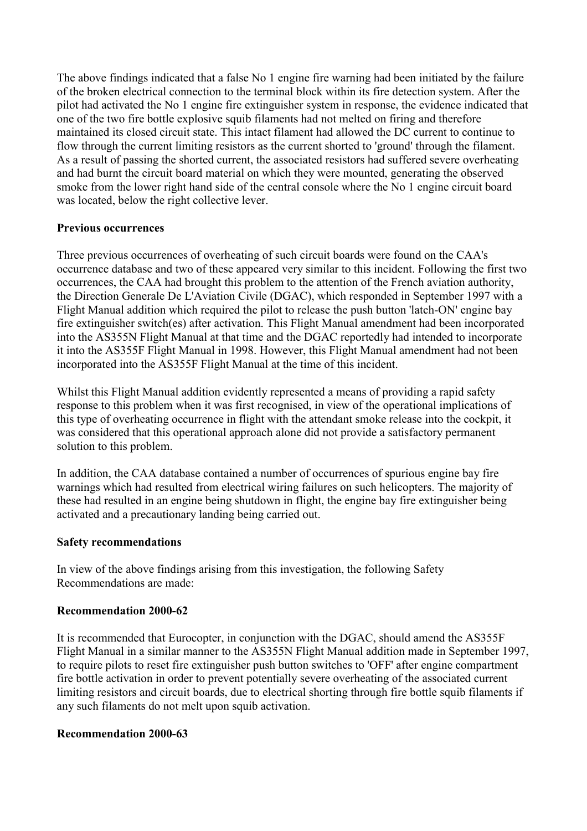The above findings indicated that a false No 1 engine fire warning had been initiated by the failure of the broken electrical connection to the terminal block within its fire detection system. After the pilot had activated the No 1 engine fire extinguisher system in response, the evidence indicated that one of the two fire bottle explosive squib filaments had not melted on firing and therefore maintained its closed circuit state. This intact filament had allowed the DC current to continue to flow through the current limiting resistors as the current shorted to 'ground' through the filament. As a result of passing the shorted current, the associated resistors had suffered severe overheating and had burnt the circuit board material on which they were mounted, generating the observed smoke from the lower right hand side of the central console where the No 1 engine circuit board was located, below the right collective lever.

## **Previous occurrences**

Three previous occurrences of overheating of such circuit boards were found on the CAA's occurrence database and two of these appeared very similar to this incident. Following the first two occurrences, the CAA had brought this problem to the attention of the French aviation authority, the Direction Generale De L'Aviation Civile (DGAC), which responded in September 1997 with a Flight Manual addition which required the pilot to release the push button 'latch-ON' engine bay fire extinguisher switch(es) after activation. This Flight Manual amendment had been incorporated into the AS355N Flight Manual at that time and the DGAC reportedly had intended to incorporate it into the AS355F Flight Manual in 1998. However, this Flight Manual amendment had not been incorporated into the AS355F Flight Manual at the time of this incident.

Whilst this Flight Manual addition evidently represented a means of providing a rapid safety response to this problem when it was first recognised, in view of the operational implications of this type of overheating occurrence in flight with the attendant smoke release into the cockpit, it was considered that this operational approach alone did not provide a satisfactory permanent solution to this problem.

In addition, the CAA database contained a number of occurrences of spurious engine bay fire warnings which had resulted from electrical wiring failures on such helicopters. The majority of these had resulted in an engine being shutdown in flight, the engine bay fire extinguisher being activated and a precautionary landing being carried out.

#### **Safety recommendations**

In view of the above findings arising from this investigation, the following Safety Recommendations are made:

#### **Recommendation 2000-62**

It is recommended that Eurocopter, in conjunction with the DGAC, should amend the AS355F Flight Manual in a similar manner to the AS355N Flight Manual addition made in September 1997, to require pilots to reset fire extinguisher push button switches to 'OFF' after engine compartment fire bottle activation in order to prevent potentially severe overheating of the associated current limiting resistors and circuit boards, due to electrical shorting through fire bottle squib filaments if any such filaments do not melt upon squib activation.

#### **Recommendation 2000-63**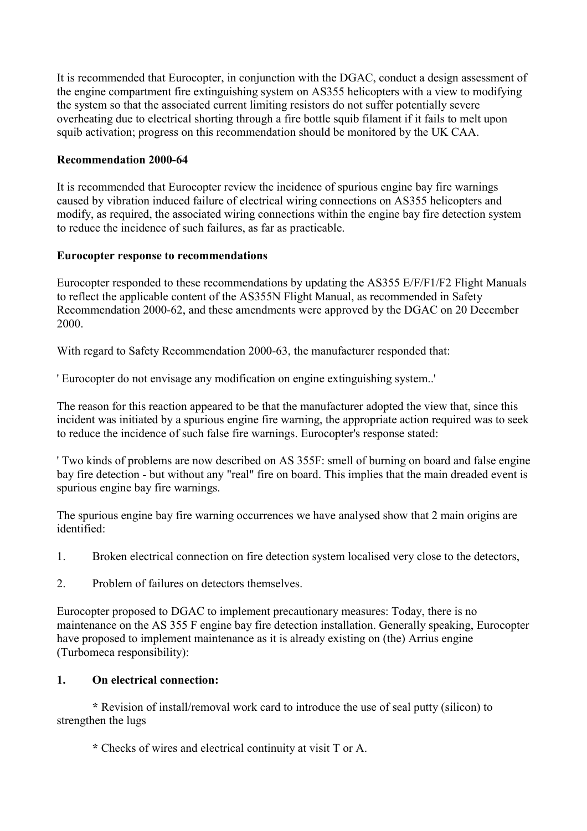It is recommended that Eurocopter, in conjunction with the DGAC, conduct a design assessment of the engine compartment fire extinguishing system on AS355 helicopters with a view to modifying the system so that the associated current limiting resistors do not suffer potentially severe overheating due to electrical shorting through a fire bottle squib filament if it fails to melt upon squib activation; progress on this recommendation should be monitored by the UK CAA.

## **Recommendation 2000-64**

It is recommended that Eurocopter review the incidence of spurious engine bay fire warnings caused by vibration induced failure of electrical wiring connections on AS355 helicopters and modify, as required, the associated wiring connections within the engine bay fire detection system to reduce the incidence of such failures, as far as practicable.

## **Eurocopter response to recommendations**

Eurocopter responded to these recommendations by updating the AS355 E/F/F1/F2 Flight Manuals to reflect the applicable content of the AS355N Flight Manual, as recommended in Safety Recommendation 2000-62, and these amendments were approved by the DGAC on 20 December 2000.

With regard to Safety Recommendation 2000-63, the manufacturer responded that:

' Eurocopter do not envisage any modification on engine extinguishing system..'

The reason for this reaction appeared to be that the manufacturer adopted the view that, since this incident was initiated by a spurious engine fire warning, the appropriate action required was to seek to reduce the incidence of such false fire warnings. Eurocopter's response stated:

' Two kinds of problems are now described on AS 355F: smell of burning on board and false engine bay fire detection - but without any "real" fire on board. This implies that the main dreaded event is spurious engine bay fire warnings.

The spurious engine bay fire warning occurrences we have analysed show that 2 main origins are identified:

- 1. Broken electrical connection on fire detection system localised very close to the detectors,
- 2. Problem of failures on detectors themselves.

Eurocopter proposed to DGAC to implement precautionary measures: Today, there is no maintenance on the AS 355 F engine bay fire detection installation. Generally speaking, Eurocopter have proposed to implement maintenance as it is already existing on (the) Arrius engine (Turbomeca responsibility):

## **1. On electrical connection:**

 **\*** Revision of install/removal work card to introduce the use of seal putty (silicon) to strengthen the lugs

**\*** Checks of wires and electrical continuity at visit T or A.